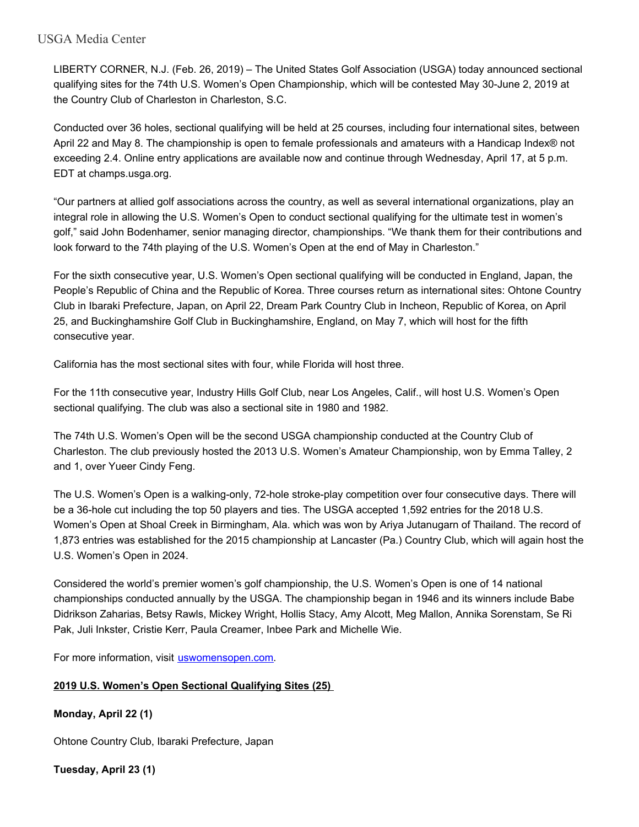## USGA Media Center

LIBERTY CORNER, N.J. (Feb. 26, 2019) – The United States Golf Association (USGA) today announced sectional qualifying sites for the 74th U.S. Women's Open Championship, which will be contested May 30-June 2, 2019 at the Country Club of Charleston in Charleston, S.C.

Conducted over 36 holes, sectional qualifying will be held at 25 courses, including four international sites, between April 22 and May 8. The championship is open to female professionals and amateurs with a Handicap Index® not exceeding 2.4. Online entry applications are available now and continue through Wednesday, April 17, at 5 p.m. EDT at champs.usga.org.

"Our partners at allied golf associations across the country, as well as several international organizations, play an integral role in allowing the U.S. Women's Open to conduct sectional qualifying for the ultimate test in women's golf," said John Bodenhamer, senior managing director, championships. "We thank them for their contributions and look forward to the 74th playing of the U.S. Women's Open at the end of May in Charleston."

For the sixth consecutive year, U.S. Women's Open sectional qualifying will be conducted in England, Japan, the People's Republic of China and the Republic of Korea. Three courses return as international sites: Ohtone Country Club in Ibaraki Prefecture, Japan, on April 22, Dream Park Country Club in Incheon, Republic of Korea, on April 25, and Buckinghamshire Golf Club in Buckinghamshire, England, on May 7, which will host for the fifth consecutive year.

California has the most sectional sites with four, while Florida will host three.

For the 11th consecutive year, Industry Hills Golf Club, near Los Angeles, Calif., will host U.S. Women's Open sectional qualifying. The club was also a sectional site in 1980 and 1982.

The 74th U.S. Women's Open will be the second USGA championship conducted at the Country Club of Charleston. The club previously hosted the 2013 U.S. Women's Amateur Championship, won by Emma Talley, 2 and 1, over Yueer Cindy Feng.

The U.S. Women's Open is a walking-only, 72-hole stroke-play competition over four consecutive days. There will be a 36-hole cut including the top 50 players and ties. The USGA accepted 1,592 entries for the 2018 U.S. Women's Open at Shoal Creek in Birmingham, Ala. which was won by Ariya Jutanugarn of Thailand. The record of 1,873 entries was established for the 2015 championship at Lancaster (Pa.) Country Club, which will again host the U.S. Women's Open in 2024.

Considered the world's premier women's golf championship, the U.S. Women's Open is one of 14 national championships conducted annually by the USGA. The championship began in 1946 and its winners include Babe Didrikson Zaharias, Betsy Rawls, Mickey Wright, Hollis Stacy, Amy Alcott, Meg Mallon, Annika Sorenstam, Se Ri Pak, Juli Inkster, Cristie Kerr, Paula Creamer, Inbee Park and Michelle Wie.

For more information, visit [uswomensopen.com.](https://na01.safelinks.protection.outlook.com/?url=http%3A%2F%2Ficm-tracking.meltwater.com%2Flink.php%3FDynEngagement%3Dtrue%26H%3DI%252BqMhXDuIS2RujNbavWSOKShOr7Ezi73JeGvxlkJ09Qb0kDpZZQFeNNHdVvWlISCtYK82JXa7bFoVHMU%252Fir5ZwQGWB1%252FChvIdWaTZ4EMaUIoF%252B284Fhx1w%253D%253D%26G%3D0%26R%3Duswomensopen.com%26I%3D20190226150149.000000080e84%2540mail6-46-ussnn1%26X%3DMHwxMDQ2NzU4OjVjNzU1NDViZDcxZTA4NTBkMjc0MDcxZTs%253D%26S%3DV-es3cNzFH6imaaPqRUPNNkFNnuXHbo8HyiKG4Avgmg&data=02%7C01%7Cjpine%40usga.org%7C0cf694f8a4ff4a62c76108d69bfb5643%7C17abf7083a064391bdbd06808d1b9f81%7C0%7C0%7C636867901119443370&sdata=c3C%2FsLCq0pp6TtqidNQPddeVju%2FH3YFcWOnnAl%2FgTqc%3D&reserved=0)

# **2019 U.S. Women's Open Sectional Qualifying Sites (25)**

**Monday, April 22 (1)**

Ohtone Country Club, Ibaraki Prefecture, Japan

**Tuesday, April 23 (1)**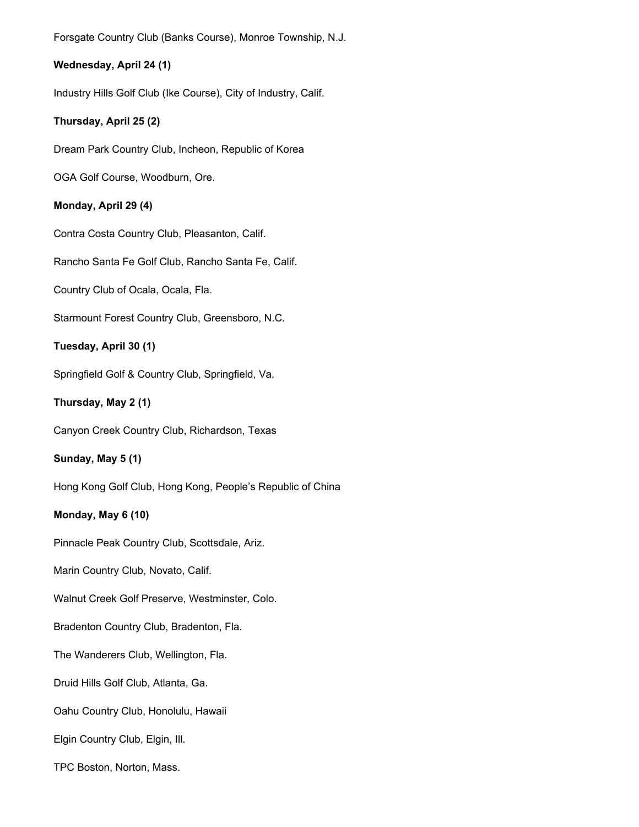Forsgate Country Club (Banks Course), Monroe Township, N.J.

### **Wednesday, April 24 (1)**

Industry Hills Golf Club (Ike Course), City of Industry, Calif.

#### **Thursday, April 25 (2)**

Dream Park Country Club, Incheon, Republic of Korea

OGA Golf Course, Woodburn, Ore.

#### **Monday, April 29 (4)**

Contra Costa Country Club, Pleasanton, Calif.

Rancho Santa Fe Golf Club, Rancho Santa Fe, Calif.

Country Club of Ocala, Ocala, Fla.

Starmount Forest Country Club, Greensboro, N.C.

## **Tuesday, April 30 (1)**

Springfield Golf & Country Club, Springfield, Va.

**Thursday, May 2 (1)**

Canyon Creek Country Club, Richardson, Texas

**Sunday, May 5 (1)**

Hong Kong Golf Club, Hong Kong, People's Republic of China

#### **Monday, May 6 (10)**

Pinnacle Peak Country Club, Scottsdale, Ariz.

Marin Country Club, Novato, Calif.

Walnut Creek Golf Preserve, Westminster, Colo.

Bradenton Country Club, Bradenton, Fla.

The Wanderers Club, Wellington, Fla.

Druid Hills Golf Club, Atlanta, Ga.

Oahu Country Club, Honolulu, Hawaii

Elgin Country Club, Elgin, Ill.

TPC Boston, Norton, Mass.